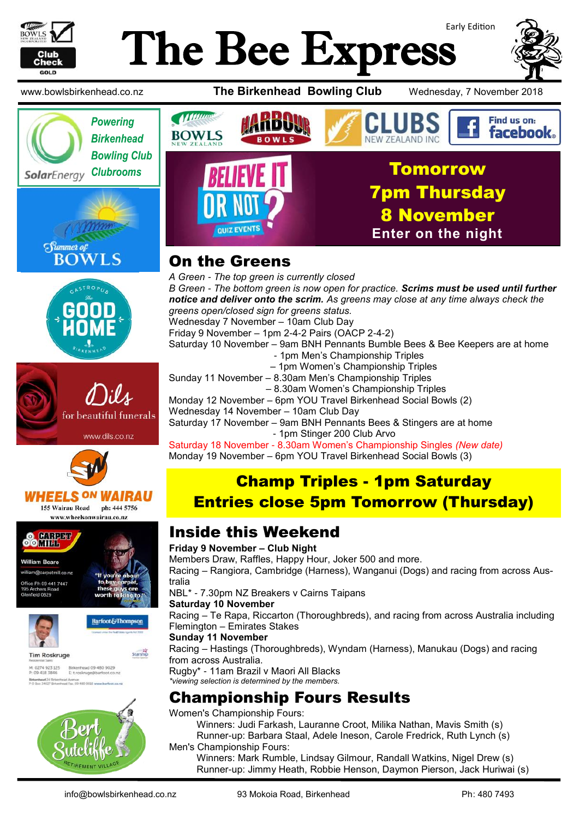

# Early Edition The Bee Express



















**Tim Roskruge** 

M: 0274 923 125<br>P: 09 418 3846 Birkenhead 09 480 9029<br>E. t.roskruge@barfoot.co.nz Birkenhead 24 Briter<br>P O Box 34027 Birken





## On the Greens

*A Green - The top green is currently closed B Green - The bottom green is now open for practice. Scrims must be used until further notice and deliver onto the scrim. As greens may close at any time always check the greens open/closed sign for greens status.* Wednesday 7 November – 10am Club Day Friday 9 November – 1pm 2-4-2 Pairs (OACP 2-4-2) Saturday 10 November – 9am BNH Pennants Bumble Bees & Bee Keepers are at home - 1pm Men's Championship Triples – 1pm Women's Championship Triples Sunday 11 November – 8.30am Men's Championship Triples – 8.30am Women's Championship Triples Monday 12 November – 6pm YOU Travel Birkenhead Social Bowls (2) Wednesday 14 November – 10am Club Day Saturday 17 November – 9am BNH Pennants Bees & Stingers are at home

 - 1pm Stinger 200 Club Arvo Saturday 18 November - 8.30am Women's Championship Singles *(New date)*

Monday 19 November – 6pm YOU Travel Birkenhead Social Bowls (3)

# Champ Triples - 1pm Saturday Entries close 5pm Tomorrow (Thursday)

### Inside this Weekend

#### **Friday 9 November – Club Night**

Members Draw, Raffles, Happy Hour, Joker 500 and more. Racing – Rangiora, Cambridge (Harness), Wanganui (Dogs) and racing from across Australia

NBL\* - 7.30pm NZ Breakers v Cairns Taipans

#### **Saturday 10 November**

Racing – Te Rapa, Riccarton (Thoroughbreds), and racing from across Australia including Flemington – Emirates Stakes

#### **Sunday 11 November**

Racing – Hastings (Thoroughbreds), Wyndam (Harness), Manukau (Dogs) and racing from across Australia.

Rugby\* - 11am Brazil v Maori All Blacks *\*viewing selection is determined by the members.*

## Championship Fours Results

Women's Championship Fours: Winners: Judi Farkash, Lauranne Croot, Milika Nathan, Mavis Smith (s) Runner-up: Barbara Staal, Adele Ineson, Carole Fredrick, Ruth Lynch (s) Men's Championship Fours:

Winners: Mark Rumble, Lindsay Gilmour, Randall Watkins, Nigel Drew (s) Runner-up: Jimmy Heath, Robbie Henson, Daymon Pierson, Jack Huriwai (s)

**Barfoot&Thompson** 

**Starship**